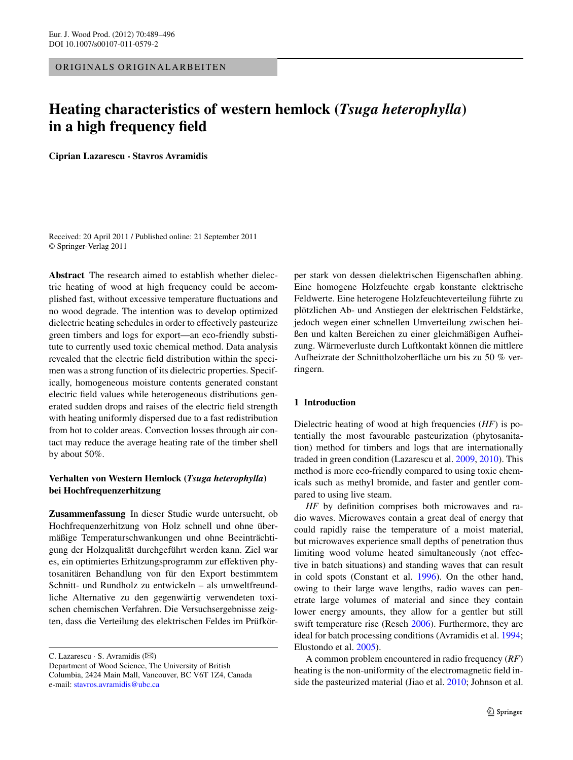ORIGINALS ORIGINALARBEITEN

# **Heating characteristics of western hemlock (***Tsuga heterophylla***) in a high frequency field**

**Ciprian Lazarescu · Stavros Avramidis**

Received: 20 April 2011 / Published online: 21 September 2011 © Springer-Verlag 2011

**Abstract** The research aimed to establish whether dielectric heating of wood at high frequency could be accomplished fast, without excessive temperature fluctuations and no wood degrade. The intention was to develop optimized dielectric heating schedules in order to effectively pasteurize green timbers and logs for export—an eco-friendly substitute to currently used toxic chemical method. Data analysis revealed that the electric field distribution within the specimen was a strong function of its dielectric properties. Specifically, homogeneous moisture contents generated constant electric field values while heterogeneous distributions generated sudden drops and raises of the electric field strength with heating uniformly dispersed due to a fast redistribution from hot to colder areas. Convection losses through air contact may reduce the average heating rate of the timber shell by about 50%.

## **Verhalten von Western Hemlock (***Tsuga heterophylla***) bei Hochfrequenzerhitzung**

**Zusammenfassung** In dieser Studie wurde untersucht, ob Hochfrequenzerhitzung von Holz schnell und ohne übermäßige Temperaturschwankungen und ohne Beeinträchtigung der Holzqualität durchgeführt werden kann. Ziel war es, ein optimiertes Erhitzungsprogramm zur effektiven phytosanitären Behandlung von für den Export bestimmtem Schnitt- und Rundholz zu entwickeln – als umweltfreundliche Alternative zu den gegenwärtig verwendeten toxischen chemischen Verfahren. Die Versuchsergebnisse zeigten, dass die Verteilung des elektrischen Feldes im Prüfkör-

C. Lazarescu  $\cdot$  S. Avramidis ( $\boxtimes$ )

Department of Wood Science, The University of British Columbia, 2424 Main Mall, Vancouver, BC V6T 1Z4, Canada e-mail: [stavros.avramidis@ubc.ca](mailto:stavros.avramidis@ubc.ca)

per stark von dessen dielektrischen Eigenschaften abhing. Eine homogene Holzfeuchte ergab konstante elektrische Feldwerte. Eine heterogene Holzfeuchteverteilung führte zu plötzlichen Ab- und Anstiegen der elektrischen Feldstärke, jedoch wegen einer schnellen Umverteilung zwischen heißen und kalten Bereichen zu einer gleichmäßigen Aufheizung. Wärmeverluste durch Luftkontakt können die mittlere Aufheizrate der Schnittholzoberfläche um bis zu 50 % verringern.

## **1 Introduction**

Dielectric heating of wood at high frequencies (*HF*) is potentially the most favourable pasteurization (phytosanitation) method for timbers and logs that are internationally traded in green condition (Lazarescu et al. [2009,](#page-7-0) [2010](#page-7-1)). This method is more eco-friendly compared to using toxic chemicals such as methyl bromide, and faster and gentler compared to using live steam.

*HF* by definition comprises both microwaves and radio waves. Microwaves contain a great deal of energy that could rapidly raise the temperature of a moist material, but microwaves experience small depths of penetration thus limiting wood volume heated simultaneously (not effective in batch situations) and standing waves that can result in cold spots (Constant et al. [1996\)](#page-7-2). On the other hand, owing to their large wave lengths, radio waves can penetrate large volumes of material and since they contain lower energy amounts, they allow for a gentler but still swift temperature rise (Resch [2006\)](#page-7-3). Furthermore, they are ideal for batch processing conditions (Avramidis et al. [1994](#page-7-4); Elustondo et al. [2005\)](#page-7-5).

A common problem encountered in radio frequency (*RF*) heating is the non-uniformity of the electromagnetic field inside the pasteurized material (Jiao et al. [2010;](#page-7-6) Johnson et al.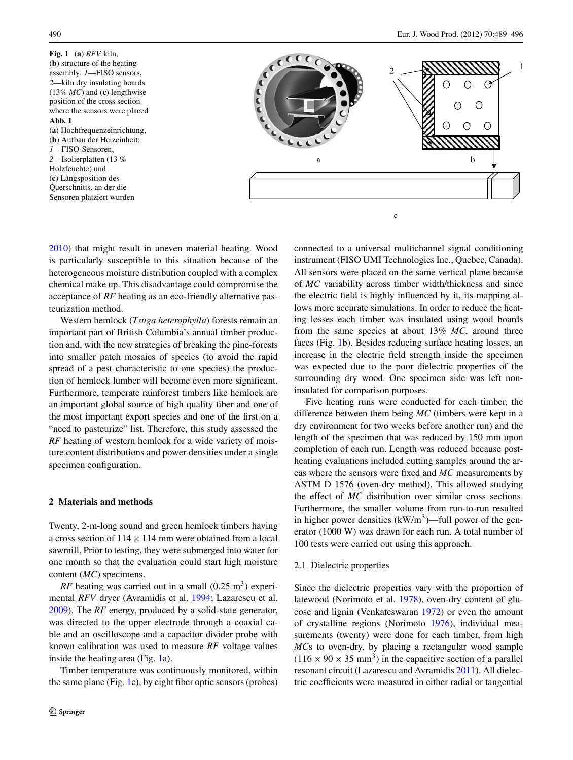<span id="page-1-0"></span>**Fig. 1** (**a**) *RFV* kiln, (**b**) structure of the heating assembly: *1*—FISO sensors, *2*—kiln dry insulating boards (13% *MC*) and (**c**) lengthwise position of the cross section where the sensors were placed **Abb. 1** (**a**) Hochfrequenzeinrichtung, (**b**) Aufbau der Heizeinheit: *1* – FISO-Sensoren, *2* – Isolierplatten (13 % Holzfeuchte) und (**c**) Längsposition des Querschnitts, an der die Sensoren platziert wurden



[2010\)](#page-7-7) that might result in uneven material heating. Wood is particularly susceptible to this situation because of the heterogeneous moisture distribution coupled with a complex chemical make up. This disadvantage could compromise the acceptance of *RF* heating as an eco-friendly alternative pasteurization method.

Western hemlock (*Tsuga heterophylla*) forests remain an important part of British Columbia's annual timber production and, with the new strategies of breaking the pine-forests into smaller patch mosaics of species (to avoid the rapid spread of a pest characteristic to one species) the production of hemlock lumber will become even more significant. Furthermore, temperate rainforest timbers like hemlock are an important global source of high quality fiber and one of the most important export species and one of the first on a "need to pasteurize" list. Therefore, this study assessed the *RF* heating of western hemlock for a wide variety of moisture content distributions and power densities under a single specimen configuration.

## **2 Materials and methods**

Twenty, 2-m-long sound and green hemlock timbers having a cross section of  $114 \times 114$  mm were obtained from a local sawmill. Prior to testing, they were submerged into water for one month so that the evaluation could start high moisture content (*MC*) specimens.

*RF* heating was carried out in a small  $(0.25 \text{ m}^3)$  experimental *RFV* dryer (Avramidis et al. [1994](#page-7-4); Lazarescu et al. [2009\)](#page-7-0). The *RF* energy, produced by a solid-state generator, was directed to the upper electrode through a coaxial cable and an oscilloscope and a capacitor divider probe with known calibration was used to measure *RF* voltage values inside the heating area (Fig. [1](#page-1-0)a).

Timber temperature was continuously monitored, within the same plane (Fig. [1c](#page-1-0)), by eight fiber optic sensors (probes) connected to a universal multichannel signal conditioning instrument (FISO UMI Technologies Inc., Quebec, Canada). All sensors were placed on the same vertical plane because of *MC* variability across timber width/thickness and since the electric field is highly influenced by it, its mapping allows more accurate simulations. In order to reduce the heating losses each timber was insulated using wood boards from the same species at about 13% *MC*, around three faces (Fig. [1](#page-1-0)b). Besides reducing surface heating losses, an increase in the electric field strength inside the specimen was expected due to the poor dielectric properties of the surrounding dry wood. One specimen side was left noninsulated for comparison purposes.

Five heating runs were conducted for each timber, the difference between them being *MC* (timbers were kept in a dry environment for two weeks before another run) and the length of the specimen that was reduced by 150 mm upon completion of each run. Length was reduced because postheating evaluations included cutting samples around the areas where the sensors were fixed and *MC* measurements by ASTM D 1576 (oven-dry method). This allowed studying the effect of *MC* distribution over similar cross sections. Furthermore, the smaller volume from run-to-run resulted in higher power densities  $(kW/m<sup>3</sup>)$ —full power of the generator (1000 W) was drawn for each run. A total number of 100 tests were carried out using this approach.

## 2.1 Dielectric properties

Since the dielectric properties vary with the proportion of latewood (Norimoto et al. [1978\)](#page-7-8), oven-dry content of glucose and lignin (Venkateswaran [1972](#page-7-9)) or even the amount of crystalline regions (Norimoto [1976\)](#page-7-10), individual measurements (twenty) were done for each timber, from high *MC*s to oven-dry, by placing a rectangular wood sample  $(116 \times 90 \times 35 \text{ mm}^3)$  in the capacitive section of a parallel resonant circuit (Lazarescu and Avramidis [2011](#page-7-11)). All dielectric coefficients were measured in either radial or tangential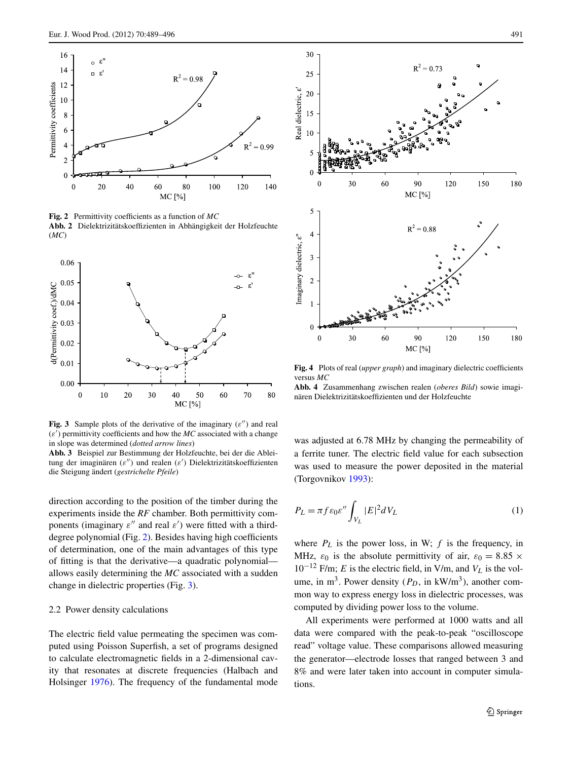

<span id="page-2-0"></span>**Fig. 2** Permittivity coefficients as a function of *MC* **Abb. 2** Dielektrizitätskoeffizienten in Abhängigkeit der Holzfeuchte (*MC*)



<span id="page-2-1"></span>Fig. 3 Sample plots of the derivative of the imaginary  $(\varepsilon'')$  and real  $(\varepsilon')$  permittivity coefficients and how the  $MC$  associated with a change in slope was determined (*dotted arrow lines*)

**Abb. 3** Beispiel zur Bestimmung der Holzfeuchte, bei der die Ableitung der imaginären (*ε*") und realen (*ε*<sup>'</sup>) Dielektrizitätskoeffizienten die Steigung ändert (*gestrichelte Pfeile*)

direction according to the position of the timber during the experiments inside the *RF* chamber. Both permittivity components (imaginary  $\varepsilon$ <sup>"</sup> and real  $\varepsilon$ <sup>'</sup>) were fitted with a thirddegree polynomial (Fig. [2](#page-2-0)). Besides having high coefficients of determination, one of the main advantages of this type of fitting is that the derivative—a quadratic polynomial allows easily determining the *MC* associated with a sudden change in dielectric properties (Fig. [3](#page-2-1)).

#### 2.2 Power density calculations

The electric field value permeating the specimen was computed using Poisson Superfish, a set of programs designed to calculate electromagnetic fields in a 2-dimensional cavity that resonates at discrete frequencies (Halbach and Holsinger [1976\)](#page-7-12). The frequency of the fundamental mode



<span id="page-2-2"></span>**Fig. 4** Plots of real (*upper graph*) and imaginary dielectric coefficients versus *MC*

**Abb. 4** Zusammenhang zwischen realen (*oberes Bild*) sowie imaginären Dielektrizitätskoeffizienten und der Holzfeuchte

was adjusted at 6.78 MHz by changing the permeability of a ferrite tuner. The electric field value for each subsection was used to measure the power deposited in the material (Torgovnikov [1993](#page-7-13)):

$$
P_L = \pi f \varepsilon_0 \varepsilon'' \int_{V_L} |E|^2 dV_L \tag{1}
$$

where  $P_L$  is the power loss, in W;  $f$  is the frequency, in MHz,  $\varepsilon_0$  is the absolute permittivity of air,  $\varepsilon_0 = 8.85 \times$  $10^{-12}$  F/m; *E* is the electric field, in V/m, and  $V_L$  is the volume, in m<sup>3</sup>. Power density  $(P_D, \text{ in } \text{kW/m}^3)$ , another common way to express energy loss in dielectric processes, was computed by dividing power loss to the volume.

All experiments were performed at 1000 watts and all data were compared with the peak-to-peak "oscilloscope read" voltage value. These comparisons allowed measuring the generator—electrode losses that ranged between 3 and 8% and were later taken into account in computer simulations.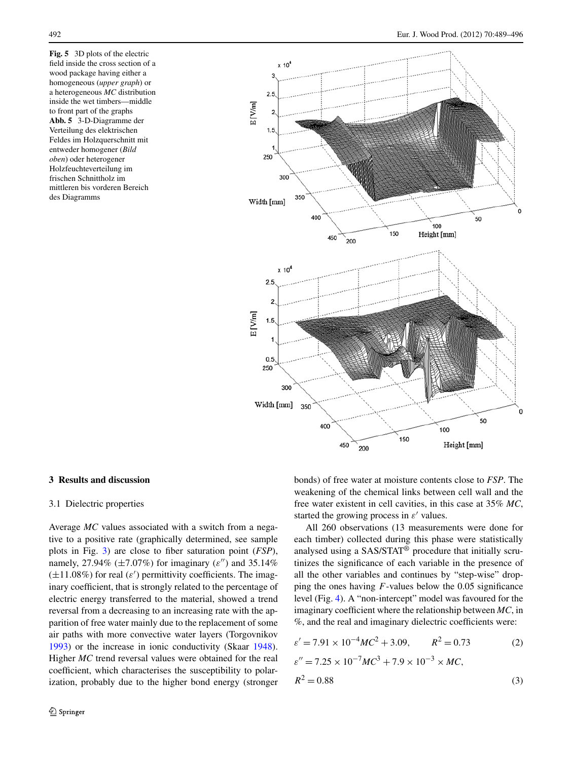<span id="page-3-0"></span>**Fig. 5** 3D plots of the electric field inside the cross section of a wood package having either a homogeneous (*upper graph*) or a heterogeneous *MC* distribution inside the wet timbers—middle to front part of the graphs **Abb. 5** 3-D-Diagramme der Verteilung des elektrischen Feldes im Holzquerschnitt mit entweder homogener (*Bild oben*) oder heterogener Holzfeuchteverteilung im frischen Schnittholz im mittleren bis vorderen Bereich des Diagramms



#### **3 Results and discussion**

## 3.1 Dielectric properties

Average *MC* values associated with a switch from a negative to a positive rate (graphically determined, see sample plots in Fig. [3](#page-2-1)) are close to fiber saturation point (*FSP*), namely, 27.94%  $(\pm 7.07\%)$  for imaginary  $(\varepsilon'')$  and 35.14%  $(\pm 11.08\%)$  for real  $(\varepsilon')$  permittivity coefficients. The imaginary coefficient, that is strongly related to the percentage of electric energy transferred to the material, showed a trend reversal from a decreasing to an increasing rate with the apparition of free water mainly due to the replacement of some air paths with more convective water layers (Torgovnikov [1993\)](#page-7-13) or the increase in ionic conductivity (Skaar [1948](#page-7-14)). Higher *MC* trend reversal values were obtained for the real coefficient, which characterises the susceptibility to polarization, probably due to the higher bond energy (stronger bonds) of free water at moisture contents close to *FSP*. The weakening of the chemical links between cell wall and the free water existent in cell cavities, in this case at 35% *MC*, started the growing process in  $\varepsilon'$  values.

All 260 observations (13 measurements were done for each timber) collected during this phase were statistically analysed using a SAS/STAT® procedure that initially scrutinizes the significance of each variable in the presence of all the other variables and continues by "step-wise" dropping the ones having *F*-values below the 0.05 significance level (Fig. [4\)](#page-2-2). A "non-intercept" model was favoured for the imaginary coefficient where the relationship between *MC*, in %, and the real and imaginary dielectric coefficients were:

$$
\varepsilon' = 7.91 \times 10^{-4} M C^2 + 3.09, \qquad R^2 = 0.73
$$
\n
$$
\varepsilon'' = 7.25 \times 10^{-7} M C^3 + 7.9 \times 10^{-3} \times M C,
$$
\n
$$
R^2 = 0.88
$$
\n(3)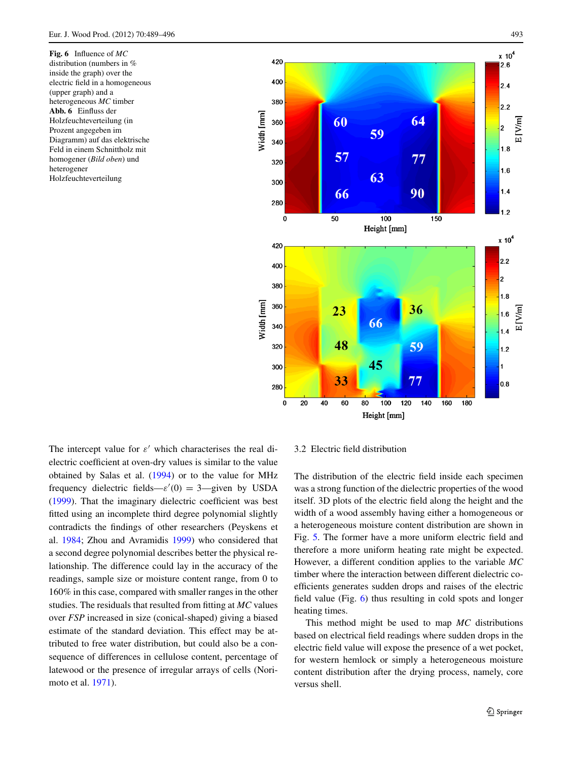<span id="page-4-0"></span>**Fig. 6** Influence of *MC* distribution (numbers in % inside the graph) over the electric field in a homogeneous (upper graph) and a heterogeneous *MC* timber **Abb. 6** Einfluss der Holzfeuchteverteilung (in Prozent angegeben im Diagramm) auf das elektrische Feld in einem Schnittholz mit homogener (*Bild oben*) und heterogener Holzfeuchteverteilung



The intercept value for  $\varepsilon'$  which characterises the real dielectric coefficient at oven-dry values is similar to the value obtained by Salas et al. [\(1994\)](#page-7-15) or to the value for MHz frequency dielectric fields— $\varepsilon'(0) = 3$ —given by USDA [\(1999](#page-7-16)). That the imaginary dielectric coefficient was best fitted using an incomplete third degree polynomial slightly contradicts the findings of other researchers (Peyskens et al. [1984](#page-7-17); Zhou and Avramidis [1999\)](#page-7-18) who considered that a second degree polynomial describes better the physical relationship. The difference could lay in the accuracy of the readings, sample size or moisture content range, from 0 to 160% in this case, compared with smaller ranges in the other studies. The residuals that resulted from fitting at *MC* values over *FSP* increased in size (conical-shaped) giving a biased estimate of the standard deviation. This effect may be attributed to free water distribution, but could also be a consequence of differences in cellulose content, percentage of latewood or the presence of irregular arrays of cells (Norimoto et al. [1971\)](#page-7-19).

3.2 Electric field distribution

The distribution of the electric field inside each specimen was a strong function of the dielectric properties of the wood itself. 3D plots of the electric field along the height and the width of a wood assembly having either a homogeneous or a heterogeneous moisture content distribution are shown in Fig. [5](#page-3-0). The former have a more uniform electric field and therefore a more uniform heating rate might be expected. However, a different condition applies to the variable *MC* timber where the interaction between different dielectric coefficients generates sudden drops and raises of the electric field value (Fig. [6](#page-4-0)) thus resulting in cold spots and longer heating times.

This method might be used to map *MC* distributions based on electrical field readings where sudden drops in the electric field value will expose the presence of a wet pocket, for western hemlock or simply a heterogeneous moisture content distribution after the drying process, namely, core versus shell.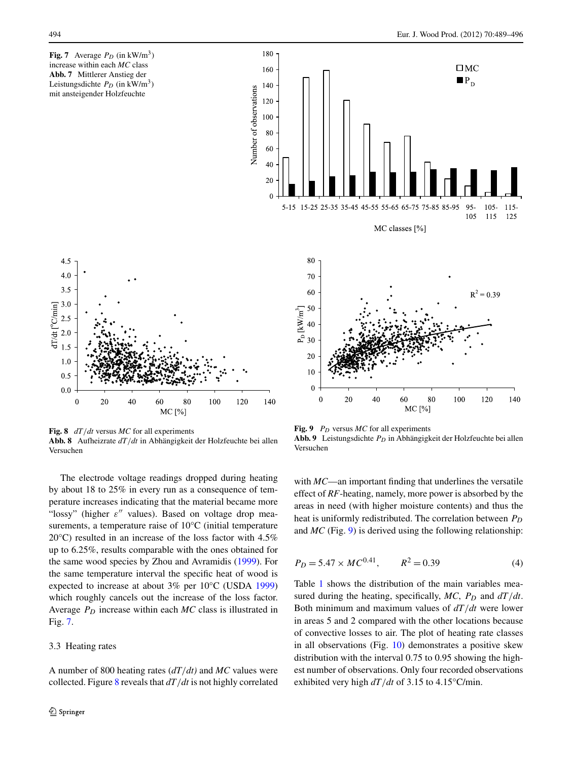<span id="page-5-0"></span>**Fig. 7** Average  $P_D$  (in kW/m<sup>3</sup>) increase within each *MC* class **Abb. 7** Mittlerer Anstieg der Leistungsdichte  $P_D$  (in kW/m<sup>3</sup>) mit ansteigender Holzfeuchte

 $R^2 = 0.39$ 

120

140





<span id="page-5-1"></span>**Fig. 8** *dT/dt* versus *MC* for all experiments **Abb. 8** Aufheizrate *dT/dt* in Abhängigkeit der Holzfeuchte bei allen Versuchen

The electrode voltage readings dropped during heating by about 18 to 25% in every run as a consequence of temperature increases indicating that the material became more "lossy" (higher *ε*" values). Based on voltage drop measurements, a temperature raise of 10°C (initial temperature 20°C) resulted in an increase of the loss factor with 4.5% up to 6.25%, results comparable with the ones obtained for the same wood species by Zhou and Avramidis ([1999\)](#page-7-18). For the same temperature interval the specific heat of wood is expected to increase at about 3% per 10°C (USDA [1999\)](#page-7-16) which roughly cancels out the increase of the loss factor. Average *PD* increase within each *MC* class is illustrated in Fig. [7](#page-5-0).

## 3.3 Heating rates

A number of 800 heating rates (*dT/dt)* and *MC* values were collected. Figure [8](#page-5-1) reveals that *dT/dt* is not highly correlated

**Fig. 9**  $P_D$  versus *MC* for all experiments

40

20

70

60

 $\frac{1}{2}$  50<br> $\frac{1}{2}$  40<br> $\frac{1}{2}$  30

<span id="page-5-2"></span>20

 $10$ 

 $\overline{0}$ 

 $\overline{0}$ 

Abb. 9 Leistungsdichte  $P_D$  in Abhängigkeit der Holzfeuchte bei allen Versuchen

60

MC [%]

80

100

with *MC*—an important finding that underlines the versatile effect of *RF*-heating, namely, more power is absorbed by the areas in need (with higher moisture contents) and thus the heat is uniformly redistributed. The correlation between  $P_D$ and *MC* (Fig. [9](#page-5-2)) is derived using the following relationship:

$$
P_D = 5.47 \times MC^{0.41}, \qquad R^2 = 0.39 \tag{4}
$$

Table [1](#page-6-0) shows the distribution of the main variables measured during the heating, specifically,  $MC$ ,  $P_D$  and  $dT/dt$ . Both minimum and maximum values of *dT/dt* were lower in areas 5 and 2 compared with the other locations because of convective losses to air. The plot of heating rate classes in all observations (Fig. [10\)](#page-6-1) demonstrates a positive skew distribution with the interval 0.75 to 0.95 showing the highest number of observations. Only four recorded observations exhibited very high *dT/dt* of 3.15 to 4.15°C/min.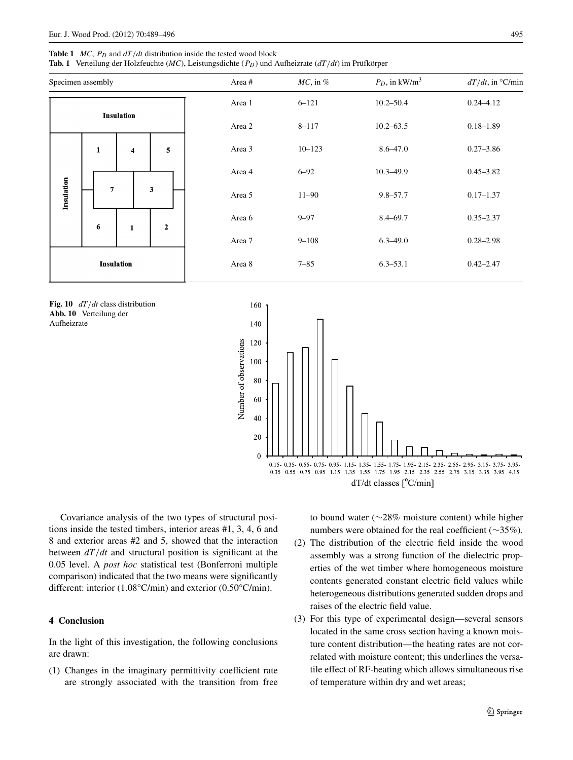### <span id="page-6-0"></span>**Table 1** *MC*,  $P_D$  and  $dT/dt$  distribution inside the tested wood block

**Tab. 1** Verteilung der Holzfeuchte (*MC*), Leistungsdichte (*PD*) und Aufheizrate (*dT/dt*) im Prüfkörper

| Specimen assembly |              |                         |                         | Area#  | $MC$ , in $%$ | $P_D$ , in kW/m <sup>3</sup> | $dT/dt$ , in °C/min |
|-------------------|--------------|-------------------------|-------------------------|--------|---------------|------------------------------|---------------------|
| <b>Insulation</b> |              |                         |                         | Area 1 | $6 - 121$     | $10.2 - 50.4$                | $0.24 - 4.12$       |
|                   |              |                         |                         | Area 2 | $8 - 117$     | $10.2 - 63.5$                | $0.18 - 1.89$       |
| Insulation        | $\mathbf{1}$ | $\overline{\mathbf{4}}$ | $\overline{\mathbf{5}}$ | Area 3 | $10 - 123$    | $8.6 - 47.0$                 | $0.27 - 3.86$       |
|                   |              |                         |                         | Area 4 | $6 - 92$      | $10.3 - 49.9$                | $0.45 - 3.82$       |
|                   | 7            |                         | 3                       | Area 5 | $11 - 90$     | $9.8 - 57.7$                 | $0.17 - 1.37$       |
|                   | 6            | $\mathbf{1}$            | $\mathbf 2$             | Area 6 | $9 - 97$      | $8.4 - 69.7$                 | $0.35 - 2.37$       |
|                   |              |                         |                         | Area 7 | $9 - 108$     | $6.3 - 49.0$                 | $0.28 - 2.98$       |
| <b>Insulation</b> |              |                         |                         | Area 8 | $7 - 85$      | $6.3 - 53.1$                 | $0.42 - 2.47$       |
|                   |              |                         |                         |        |               |                              |                     |

<span id="page-6-1"></span>**Fig. 10** *dT/dt* class distribution **Abb. 10** Verteilung der Aufheizrate



Covariance analysis of the two types of structural positions inside the tested timbers, interior areas #1, 3, 4, 6 and 8 and exterior areas #2 and 5, showed that the interaction between *dT/dt* and structural position is significant at the 0.05 level. A *post hoc* statistical test (Bonferroni multiple comparison) indicated that the two means were significantly different: interior (1.08°C/min) and exterior (0.50°C/min).

## **4 Conclusion**

In the light of this investigation, the following conclusions are drawn:

(1) Changes in the imaginary permittivity coefficient rate are strongly associated with the transition from free to bound water (∼28% moisture content) while higher numbers were obtained for the real coefficient (∼35%).

- (2) The distribution of the electric field inside the wood assembly was a strong function of the dielectric properties of the wet timber where homogeneous moisture contents generated constant electric field values while heterogeneous distributions generated sudden drops and raises of the electric field value.
- (3) For this type of experimental design—several sensors located in the same cross section having a known moisture content distribution—the heating rates are not correlated with moisture content; this underlines the versatile effect of RF-heating which allows simultaneous rise of temperature within dry and wet areas;